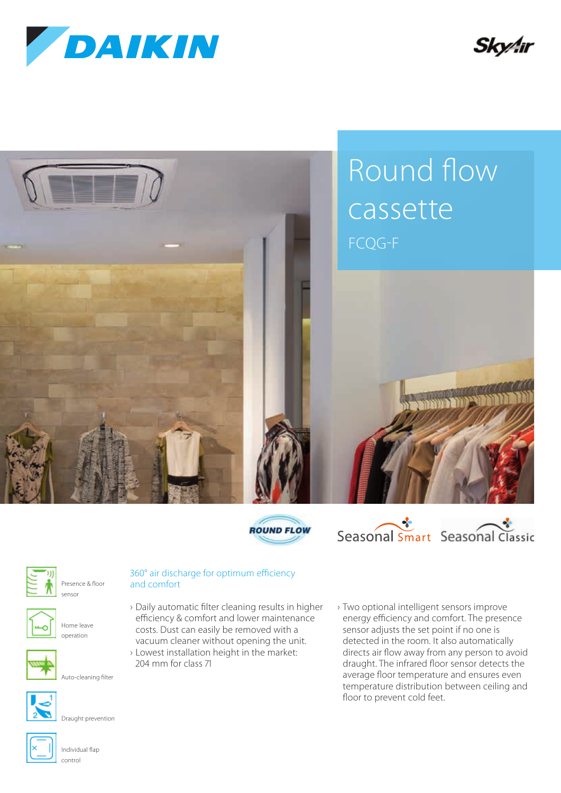

Skv4ir









Presence & floor sensor



Home leave operation



Auto-cleaning filter



Draught prevention



## 360° air discharge for optimum efficiency and comfort

- › Daily automatic filter cleaning results in higher efficiency & comfort and lower maintenance costs. Dust can easily be removed with a vacuum cleaner without opening the unit.
- › Lowest installation height in the market: 204 mm for class 71
- › Two optional intelligent sensors improve energy efficiency and comfort. The presence sensor adjusts the set point if no one is detected in the room. It also automatically directs air flow away from any person to avoid draught. The infrared floor sensor detects the average floor temperature and ensures even temperature distribution between ceiling and floor to prevent cold feet.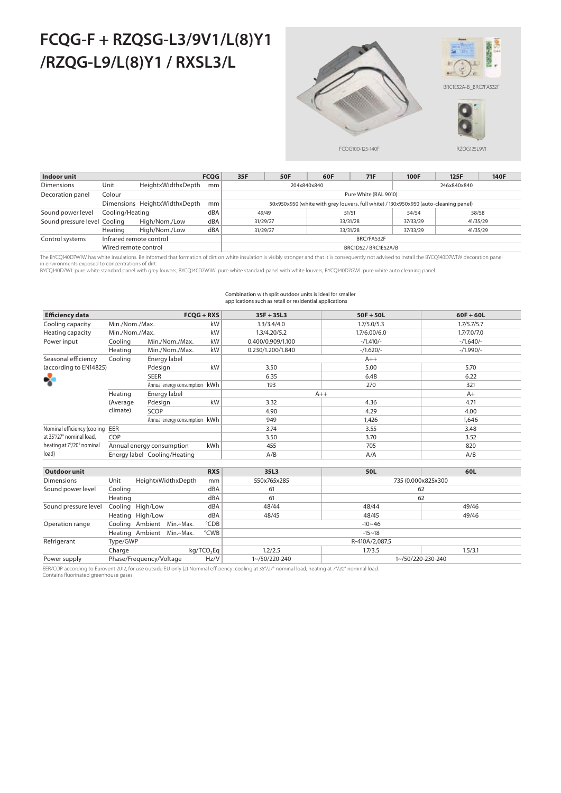# **FCQG-F + RZQSG-L3/9V1/L(8)Y1 /RZQG-L9/L(8)Y1 / RXSL3/L**



| Indoor unit                  |                         |                               | <b>FCOG</b> | 35F                                                                                  | <b>50F</b> | 60F      | 71F   | <b>100F</b> | 125F     | 140F |  |  |
|------------------------------|-------------------------|-------------------------------|-------------|--------------------------------------------------------------------------------------|------------|----------|-------|-------------|----------|------|--|--|
| <b>Dimensions</b>            | Unit                    | HeightxWidthxDepth            | mm          | 204x840x840<br>246x840x840                                                           |            |          |       |             |          |      |  |  |
| Decoration panel             | Colour                  |                               |             | Pure White (RAL 9010)                                                                |            |          |       |             |          |      |  |  |
|                              |                         | Dimensions HeightxWidthxDepth | mm          | 50x950x950 (white with grey louvers, full white) / 130x950x950 (auto-cleaning panel) |            |          |       |             |          |      |  |  |
| Sound power level            | Cooling/Heating         |                               | dBA         |                                                                                      | 49/49      | 51/51    | 58/58 |             |          |      |  |  |
| Sound pressure level Cooling |                         | High/Nom./Low                 | dBA         | 31/29/27                                                                             |            | 33/31/28 |       | 37/33/29    | 41/35/29 |      |  |  |
|                              | Heating                 | High/Nom./Low                 | dBA         | 31/29/27                                                                             |            | 33/31/28 |       | 37/33/29    | 41/35/29 |      |  |  |
| Control systems              | Infrared remote control |                               |             | BRC7FA532F                                                                           |            |          |       |             |          |      |  |  |
|                              | Wired remote control    |                               |             | BRC1D52 / BRC1E52A/B                                                                 |            |          |       |             |          |      |  |  |

The BYCQ140D7W1W has white insulations. Be informed that formation of dirt on white insulation is visibly stronger and that it is consequently not advised to install the BYCQ140D7W1W decoration panel

in environments exposed to concentrations of dirt.<br>BYCQ140D7W1: pure white standard panel with grey louvers; BYCQ140D7W1W: pure white standard panel with white louvers; BYCQ140D7GW1: pure white auto cleaning panel

### Combination with split outdoor units is ideal for smaller applications such as retail or residential applications

| <b>Efficiency data</b>      |                | $FCOG + RXS$                  |                        | $35F + 35L3$      | $50F + 50L$        | $60F + 60L$ |  |  |  |
|-----------------------------|----------------|-------------------------------|------------------------|-------------------|--------------------|-------------|--|--|--|
| Cooling capacity            | Min./Nom./Max. |                               | kW                     | 1.3/3.4/4.0       | 1.7/5.0/5.3        | 1.7/5.7/5.7 |  |  |  |
| Heating capacity            | Min./Nom./Max. |                               | kW                     | 1.3/4.20/5.2      | 1.7/6.00/6.0       | 1.7/7.0/7.0 |  |  |  |
| Power input                 | Cooling        | Min./Nom./Max.                | kW                     | 0.400/0.909/1.100 | $-/1.410/-$        | $-/1.640/-$ |  |  |  |
|                             | Heating        | Min./Nom./Max.                | kW                     | 0.230/1.200/1.840 | $-/1.620/-$        | $-/1.990/-$ |  |  |  |
| Seasonal efficiency         | Coolina        | Energy label                  |                        |                   |                    |             |  |  |  |
| (according to EN14825)      |                | Pdesign                       | kW                     | 3.50              | 5.00               | 5.70        |  |  |  |
| ℁                           |                | <b>SEER</b>                   |                        | 6.35              | 6.48               | 6.22        |  |  |  |
|                             |                | Annual energy consumption kWh |                        | 193               | 270                | 321         |  |  |  |
|                             | Heating        | Energy label                  |                        | $A++$             | $A+$               |             |  |  |  |
|                             | (Average       | Pdesign                       | kW                     | 3.32              | 4.36               | 4.71        |  |  |  |
|                             | climate)       | SCOP                          |                        | 4.90              | 4.29               | 4.00        |  |  |  |
|                             |                | Annual energy consumption kWh |                        | 949               | 1.426              | 1.646       |  |  |  |
| Nominal efficiency (cooling | EER            |                               |                        | 3.74              | 3.55               | 3.48        |  |  |  |
| at 35°/27° nominal load.    | COP            |                               |                        | 3.50              | 3.70               | 3.52        |  |  |  |
| heating at 7°/20° nominal   |                | Annual energy consumption     | kWh                    | 455               | 705                | 820         |  |  |  |
| load)                       |                | Energy label Cooling/Heating  |                        | A/B               | A/A                | A/B         |  |  |  |
|                             |                |                               |                        |                   |                    |             |  |  |  |
| <b>Outdoor unit</b>         |                |                               | <b>RXS</b>             | 35L3              | 50L                | 60L         |  |  |  |
| <b>Dimensions</b>           | Unit           | HeightxWidthxDepth            | mm                     | 550x765x285       | 735 (0.000x825x300 |             |  |  |  |
| Sound power level           | Cooling        |                               | dBA                    | 61                |                    | 62          |  |  |  |
|                             | Heating        |                               | dBA                    | 61                |                    | 62          |  |  |  |
| Sound pressure level        | Cooling        | High/Low                      | dBA                    | 48/44             | 48/44              | 49/46       |  |  |  |
|                             |                | Heating High/Low              | dBA                    | 48/45             | 48/45              | 49/46       |  |  |  |
| Operation range             |                | Cooling Ambient Min.~Max.     | °CDB                   |                   | $-10 - 46$         |             |  |  |  |
|                             |                | Heating Ambient Min.~Max.     | °CWB                   | $-15 - 18$        |                    |             |  |  |  |
| Refrigerant                 | Type/GWP       |                               |                        |                   | R-410A/2,087.5     |             |  |  |  |
|                             | Charge         |                               | kg/TCO <sub>2</sub> Eq | 1.2/2.5           | 1.7/3.5            | 1.5/3.1     |  |  |  |
| Power supply                |                | Phase/Frequency/Voltage       | Hz/V                   | 1~/50/220-240     | 1~/50/220-230-240  |             |  |  |  |

EER/COP according to Eurovent 2012, for use outside EU only (2) Nominal efficiency: cooling at 35°/27° nominal load, heating at 7°/20° nominal load.

Contains fluorinated greenhouse gases.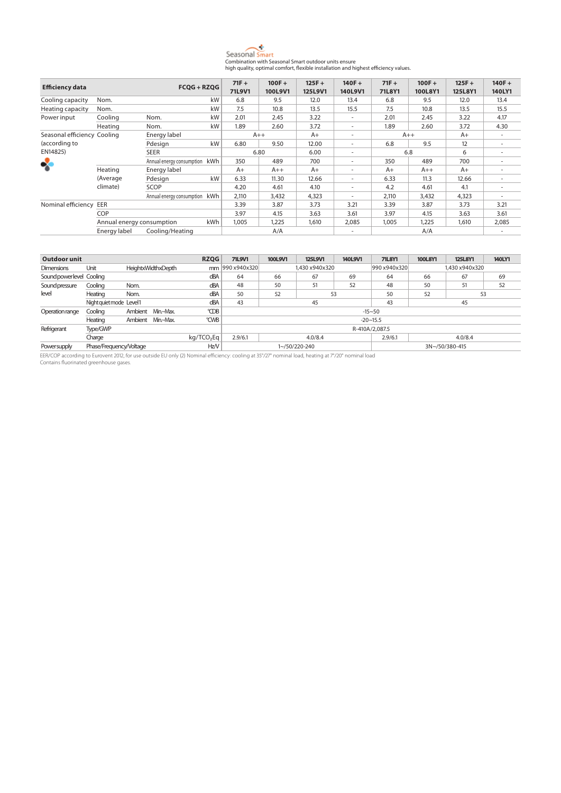

| <b>Efficiency data</b>      |                           | $FCOG + RZOG$                 |        | $71F +$ | $100F +$ | $125F +$ | $140F +$                 | $71F +$ | $100F +$ | $125F +$ | $140F +$ |
|-----------------------------|---------------------------|-------------------------------|--------|---------|----------|----------|--------------------------|---------|----------|----------|----------|
|                             |                           |                               | 71L9V1 | 100L9V1 | 125L9V1  | 140L9V1  | 71L8Y1                   | 100L8Y1 | 125L8Y1  | 140LY1   |          |
| Cooling capacity            | Nom.                      |                               | kW     | 6.8     | 9.5      | 12.0     | 13.4                     | 6.8     | 9.5      | 12.0     | 13.4     |
| Heating capacity            | Nom.                      |                               | kW     | 7.5     | 10.8     | 13.5     | 15.5                     | 7.5     | 10.8     | 13.5     | 15.5     |
| Power input                 | Cooling                   | Nom.                          | kW     | 2.01    | 2.45     | 3.22     | $\sim$                   | 2.01    | 2.45     | 3.22     | 4.17     |
|                             | Heating                   | Nom.                          | kW     | 1.89    | 2.60     | 3.72     | $\sim$                   | 1.89    | 2.60     | 3.72     | 4.30     |
| Seasonal efficiency Cooling |                           | Energy label                  |        | $A++$   |          | $A+$     | $\overline{\phantom{a}}$ | $A++$   |          | $A+$     |          |
| (according to               |                           | Pdesign                       | kW     | 6.80    | 9.50     | 12.00    | $\overline{\phantom{a}}$ | 6.8     | 9.5      | 12       |          |
| EN14825)                    |                           | <b>SEER</b>                   |        | 6.80    |          | 6.00     | $\overline{\phantom{a}}$ | 6.8     |          | 6        |          |
|                             |                           | Annual energy consumption kWh |        | 350     | 489      | 700      | $\overline{\phantom{a}}$ | 350     | 489      | 700      |          |
| ℁                           | Heating                   | Energy label                  |        | $A+$    | $A++$    | $A+$     | $\overline{\phantom{a}}$ | $A+$    | $A++$    | $A+$     |          |
|                             | (Average                  | Pdesign                       | kW     | 6.33    | 11.30    | 12.66    | $\overline{\phantom{a}}$ | 6.33    | 11.3     | 12.66    |          |
|                             | climate)                  | SCOP                          |        | 4.20    | 4.61     | 4.10     | $\overline{\phantom{a}}$ | 4.2     | 4.61     | 4.1      |          |
|                             |                           | Annual energy consumption kWh |        | 2,110   | 3,432    | 4,323    | $\overline{\phantom{a}}$ | 2,110   | 3,432    | 4,323    |          |
| Nominal efficiency          | EER                       |                               |        | 3.39    | 3.87     | 3.73     | 3.21                     | 3.39    | 3.87     | 3.73     | 3.21     |
|                             | COP                       |                               |        | 3.97    | 4.15     | 3.63     | 3.61                     | 3.97    | 4.15     | 3.63     | 3.61     |
|                             | Annual energy consumption |                               | kWh    | 1,005   | 1,225    | 1,610    | 2,085                    | 1,005   | 1,225    | 1,610    | 2,085    |
|                             | Energy label              | Cooling/Heating               |        |         | A/A      |          | $\overline{\phantom{a}}$ |         | A/A      |          |          |

| Outdoor unit              |                         |                           | <b>RZQG</b> | <b>71L9V1</b>          | 100L9V1          | 125L9V1 | 140L9V1        | <b>71L8Y1</b> | 100L8Y1         | 125L8Y1  | 140LY1         |    |  |
|---------------------------|-------------------------|---------------------------|-------------|------------------------|------------------|---------|----------------|---------------|-----------------|----------|----------------|----|--|
| <b>Dimensions</b>         | Unit                    | <b>HeightxWidthxDepth</b> |             |                        | mm 990 x940 x320 |         | 1.430 x940x320 |               | 990 x940x320    |          | 1,430 x940x320 |    |  |
| Sound power level Cooling |                         |                           |             | dBA                    | 64               | 66      | 67             | 69            | 64              | 66<br>67 |                |    |  |
| Sound pressure<br>Cooling |                         | Nom.                      |             |                        | 48               | 50      | 51             | 52            | 48              | 50       | 51             | 52 |  |
| level                     | Heating                 | Nom.                      |             | dBA                    | 50               | 52      | 53             |               | 50              | 52       | 53             |    |  |
|                           |                         | Night quiet mode Level1   |             |                        | 43               |         | 45             |               | 43              | 45       |                |    |  |
| Operation range           | Cooling                 | Ambient Min.~Max.         |             | °CDB                   | $-15 - 50$       |         |                |               |                 |          |                |    |  |
|                           | Heating                 | Ambient Min.~Max.         |             | °CWB                   |                  |         |                |               | $-20 \sim 15.5$ |          |                |    |  |
| Refrigerant               | Type/GWP                |                           |             |                        | R-410A/2.087.5   |         |                |               |                 |          |                |    |  |
|                           | Charge                  |                           |             | kq/TCO <sub>2</sub> Eq | 2.9/6.1          |         | 4.0/8.4        |               | 2.9/6.1         |          | 4.0/8.4        |    |  |
| Powersupply               | Phase/Frequency/Voltage |                           |             | Hz/V                   |                  |         | 1~/50/220-240  |               | 3N~/50/380-415  |          |                |    |  |

EER/COP according to Eurovent 2012, for use outside EU only (2) Nominal efficiency: cooling at 35°/27° nominal load, heating at 7°/20° nominal load Contains fluorinated greenhouse gases.